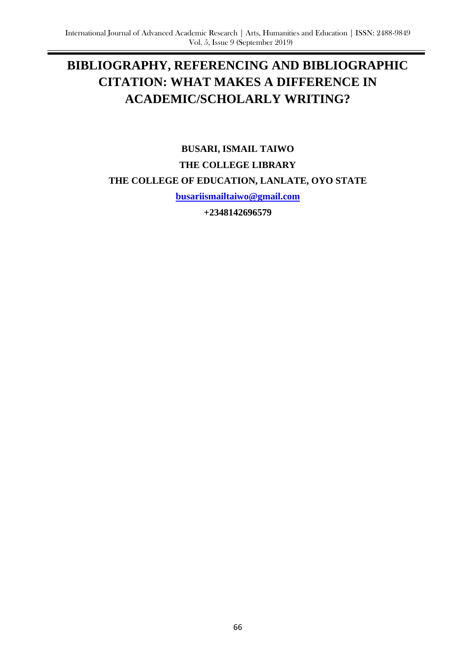# **BIBLIOGRAPHY, REFERENCING AND BIBLIOGRAPHIC CITATION: WHAT MAKES A DIFFERENCE IN ACADEMIC/SCHOLARLY WRITING?**

**BUSARI, ISMAIL TAIWO THE COLLEGE LIBRARY THE COLLEGE OF EDUCATION, LANLATE, OYO STATE**

**[busariismailtaiwo@gmail.com](mailto:busariismailtaiwo@gmail.com)**

**+2348142696579**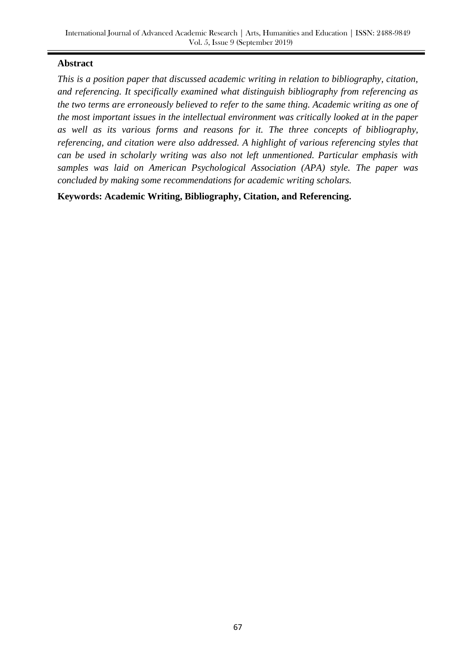### **Abstract**

*This is a position paper that discussed academic writing in relation to bibliography, citation, and referencing. It specifically examined what distinguish bibliography from referencing as the two terms are erroneously believed to refer to the same thing. Academic writing as one of the most important issues in the intellectual environment was critically looked at in the paper as well as its various forms and reasons for it. The three concepts of bibliography, referencing, and citation were also addressed. A highlight of various referencing styles that can be used in scholarly writing was also not left unmentioned. Particular emphasis with samples was laid on American Psychological Association (APA) style. The paper was concluded by making some recommendations for academic writing scholars.*

**Keywords: Academic Writing, Bibliography, Citation, and Referencing.**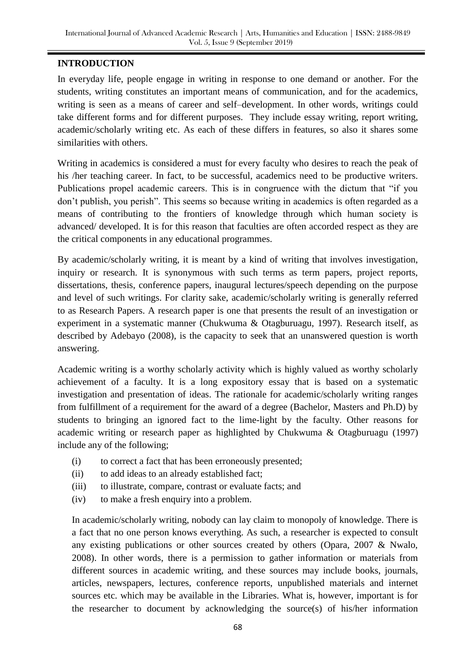# **INTRODUCTION**

In everyday life, people engage in writing in response to one demand or another. For the students, writing constitutes an important means of communication, and for the academics, writing is seen as a means of career and self–development. In other words, writings could take different forms and for different purposes. They include essay writing, report writing, academic/scholarly writing etc. As each of these differs in features, so also it shares some similarities with others.

Writing in academics is considered a must for every faculty who desires to reach the peak of his /her teaching career. In fact, to be successful, academics need to be productive writers. Publications propel academic careers. This is in congruence with the dictum that "if you don't publish, you perish". This seems so because writing in academics is often regarded as a means of contributing to the frontiers of knowledge through which human society is advanced/ developed. It is for this reason that faculties are often accorded respect as they are the critical components in any educational programmes.

By academic/scholarly writing, it is meant by a kind of writing that involves investigation, inquiry or research. It is synonymous with such terms as term papers, project reports, dissertations, thesis, conference papers, inaugural lectures/speech depending on the purpose and level of such writings. For clarity sake, academic/scholarly writing is generally referred to as Research Papers. A research paper is one that presents the result of an investigation or experiment in a systematic manner (Chukwuma & Otagburuagu, 1997). Research itself, as described by Adebayo (2008), is the capacity to seek that an unanswered question is worth answering.

Academic writing is a worthy scholarly activity which is highly valued as worthy scholarly achievement of a faculty. It is a long expository essay that is based on a systematic investigation and presentation of ideas. The rationale for academic/scholarly writing ranges from fulfillment of a requirement for the award of a degree (Bachelor, Masters and Ph.D) by students to bringing an ignored fact to the lime-light by the faculty. Other reasons for academic writing or research paper as highlighted by Chukwuma & Otagburuagu (1997) include any of the following;

- (i) to correct a fact that has been erroneously presented;
- (ii) to add ideas to an already established fact;
- (iii) to illustrate, compare, contrast or evaluate facts; and
- (iv) to make a fresh enquiry into a problem.

In academic/scholarly writing, nobody can lay claim to monopoly of knowledge. There is a fact that no one person knows everything. As such, a researcher is expected to consult any existing publications or other sources created by others (Opara, 2007 & Nwalo, 2008). In other words, there is a permission to gather information or materials from different sources in academic writing, and these sources may include books, journals, articles, newspapers, lectures, conference reports, unpublished materials and internet sources etc. which may be available in the Libraries. What is, however, important is for the researcher to document by acknowledging the source(s) of his/her information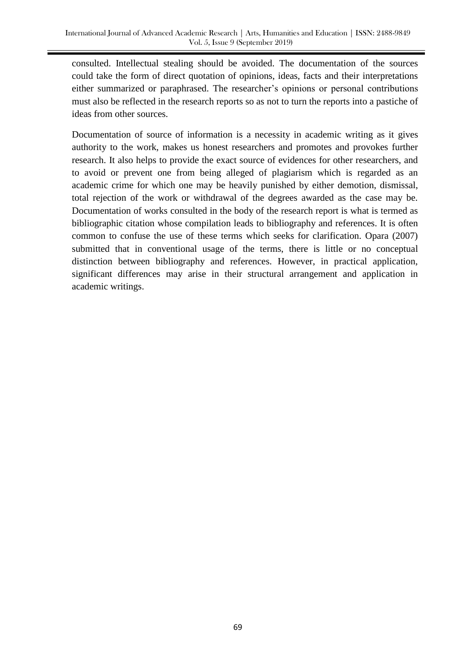consulted. Intellectual stealing should be avoided. The documentation of the sources could take the form of direct quotation of opinions, ideas, facts and their interpretations either summarized or paraphrased. The researcher's opinions or personal contributions must also be reflected in the research reports so as not to turn the reports into a pastiche of ideas from other sources.

Documentation of source of information is a necessity in academic writing as it gives authority to the work, makes us honest researchers and promotes and provokes further research. It also helps to provide the exact source of evidences for other researchers, and to avoid or prevent one from being alleged of plagiarism which is regarded as an academic crime for which one may be heavily punished by either demotion, dismissal, total rejection of the work or withdrawal of the degrees awarded as the case may be. Documentation of works consulted in the body of the research report is what is termed as bibliographic citation whose compilation leads to bibliography and references. It is often common to confuse the use of these terms which seeks for clarification. Opara (2007) submitted that in conventional usage of the terms, there is little or no conceptual distinction between bibliography and references. However, in practical application, significant differences may arise in their structural arrangement and application in academic writings.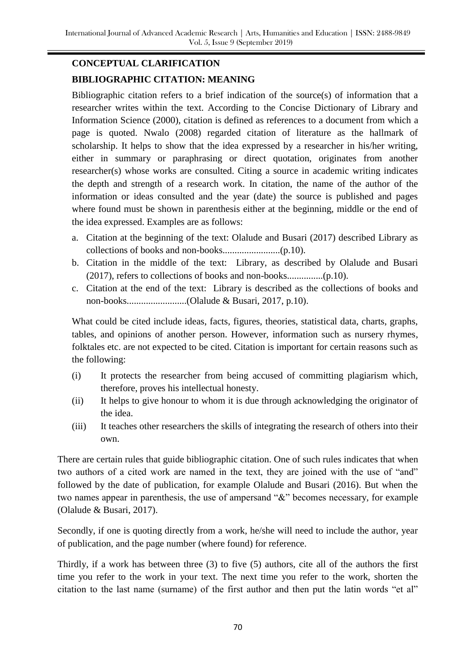# **CONCEPTUAL CLARIFICATION BIBLIOGRAPHIC CITATION: MEANING**

Bibliographic citation refers to a brief indication of the source(s) of information that a researcher writes within the text. According to the Concise Dictionary of Library and Information Science (2000), citation is defined as references to a document from which a page is quoted. Nwalo (2008) regarded citation of literature as the hallmark of scholarship. It helps to show that the idea expressed by a researcher in his/her writing, either in summary or paraphrasing or direct quotation, originates from another researcher(s) whose works are consulted. Citing a source in academic writing indicates the depth and strength of a research work. In citation, the name of the author of the information or ideas consulted and the year (date) the source is published and pages where found must be shown in parenthesis either at the beginning, middle or the end of the idea expressed. Examples are as follows:

- a. Citation at the beginning of the text: Olalude and Busari (2017) described Library as collections of books and non-books........................(p.10).
- b. Citation in the middle of the text: Library, as described by Olalude and Busari (2017), refers to collections of books and non-books...............(p.10).
- c. Citation at the end of the text: Library is described as the collections of books and non-books.........................(Olalude & Busari, 2017, p.10).

What could be cited include ideas, facts, figures, theories, statistical data, charts, graphs, tables, and opinions of another person. However, information such as nursery rhymes, folktales etc. are not expected to be cited. Citation is important for certain reasons such as the following:

- (i) It protects the researcher from being accused of committing plagiarism which, therefore, proves his intellectual honesty.
- (ii) It helps to give honour to whom it is due through acknowledging the originator of the idea.
- (iii) It teaches other researchers the skills of integrating the research of others into their own.

There are certain rules that guide bibliographic citation. One of such rules indicates that when two authors of a cited work are named in the text, they are joined with the use of "and" followed by the date of publication, for example Olalude and Busari (2016). But when the two names appear in parenthesis, the use of ampersand "&" becomes necessary, for example (Olalude & Busari, 2017).

Secondly, if one is quoting directly from a work, he/she will need to include the author, year of publication, and the page number (where found) for reference.

Thirdly, if a work has between three (3) to five (5) authors, cite all of the authors the first time you refer to the work in your text. The next time you refer to the work, shorten the citation to the last name (surname) of the first author and then put the latin words "et al"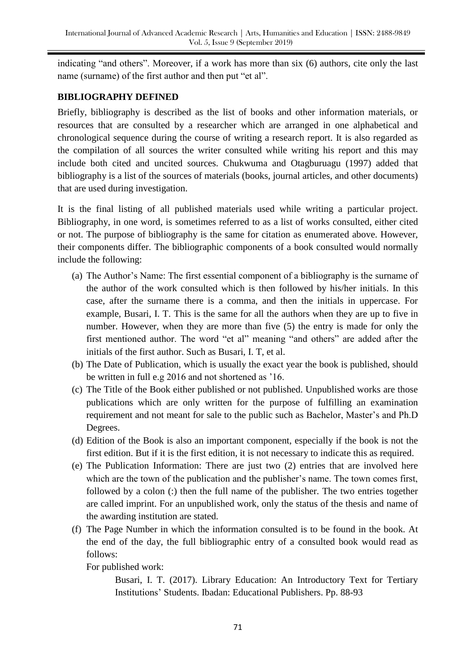indicating "and others". Moreover, if a work has more than six (6) authors, cite only the last name (surname) of the first author and then put "et al".

### **BIBLIOGRAPHY DEFINED**

Briefly, bibliography is described as the list of books and other information materials, or resources that are consulted by a researcher which are arranged in one alphabetical and chronological sequence during the course of writing a research report. It is also regarded as the compilation of all sources the writer consulted while writing his report and this may include both cited and uncited sources. Chukwuma and Otagburuagu (1997) added that bibliography is a list of the sources of materials (books, journal articles, and other documents) that are used during investigation.

It is the final listing of all published materials used while writing a particular project. Bibliography, in one word, is sometimes referred to as a list of works consulted, either cited or not. The purpose of bibliography is the same for citation as enumerated above. However, their components differ. The bibliographic components of a book consulted would normally include the following:

- (a) The Author's Name: The first essential component of a bibliography is the surname of the author of the work consulted which is then followed by his/her initials. In this case, after the surname there is a comma, and then the initials in uppercase. For example, Busari, I. T. This is the same for all the authors when they are up to five in number. However, when they are more than five (5) the entry is made for only the first mentioned author. The word "et al" meaning "and others" are added after the initials of the first author. Such as Busari, I. T, et al.
- (b) The Date of Publication, which is usually the exact year the book is published, should be written in full e.g 2016 and not shortened as '16.
- (c) The Title of the Book either published or not published. Unpublished works are those publications which are only written for the purpose of fulfilling an examination requirement and not meant for sale to the public such as Bachelor, Master's and Ph.D Degrees.
- (d) Edition of the Book is also an important component, especially if the book is not the first edition. But if it is the first edition, it is not necessary to indicate this as required.
- (e) The Publication Information: There are just two (2) entries that are involved here which are the town of the publication and the publisher's name. The town comes first, followed by a colon (:) then the full name of the publisher. The two entries together are called imprint. For an unpublished work, only the status of the thesis and name of the awarding institution are stated.
- (f) The Page Number in which the information consulted is to be found in the book. At the end of the day, the full bibliographic entry of a consulted book would read as follows:

For published work:

Busari, I. T. (2017). Library Education: An Introductory Text for Tertiary Institutions' Students. Ibadan: Educational Publishers. Pp. 88-93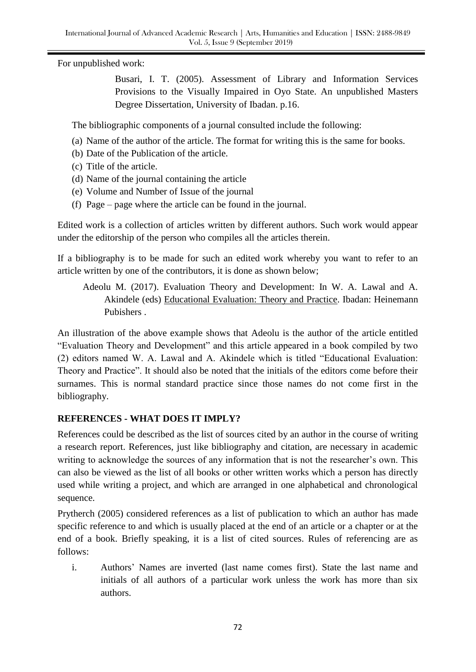For unpublished work:

Busari, I. T. (2005). Assessment of Library and Information Services Provisions to the Visually Impaired in Oyo State. An unpublished Masters Degree Dissertation, University of Ibadan. p.16.

The bibliographic components of a journal consulted include the following:

- (a) Name of the author of the article. The format for writing this is the same for books.
- (b) Date of the Publication of the article.
- (c) Title of the article.
- (d) Name of the journal containing the article
- (e) Volume and Number of Issue of the journal
- (f) Page page where the article can be found in the journal.

Edited work is a collection of articles written by different authors. Such work would appear under the editorship of the person who compiles all the articles therein.

If a bibliography is to be made for such an edited work whereby you want to refer to an article written by one of the contributors, it is done as shown below;

Adeolu M. (2017). Evaluation Theory and Development: In W. A. Lawal and A. Akindele (eds) Educational Evaluation: Theory and Practice. Ibadan: Heinemann Pubishers .

An illustration of the above example shows that Adeolu is the author of the article entitled "Evaluation Theory and Development" and this article appeared in a book compiled by two (2) editors named W. A. Lawal and A. Akindele which is titled "Educational Evaluation: Theory and Practice". It should also be noted that the initials of the editors come before their surnames. This is normal standard practice since those names do not come first in the bibliography.

### **REFERENCES - WHAT DOES IT IMPLY?**

References could be described as the list of sources cited by an author in the course of writing a research report. References, just like bibliography and citation, are necessary in academic writing to acknowledge the sources of any information that is not the researcher's own. This can also be viewed as the list of all books or other written works which a person has directly used while writing a project, and which are arranged in one alphabetical and chronological sequence.

Prytherch (2005) considered references as a list of publication to which an author has made specific reference to and which is usually placed at the end of an article or a chapter or at the end of a book. Briefly speaking, it is a list of cited sources. Rules of referencing are as follows:

i. Authors' Names are inverted (last name comes first). State the last name and initials of all authors of a particular work unless the work has more than six authors.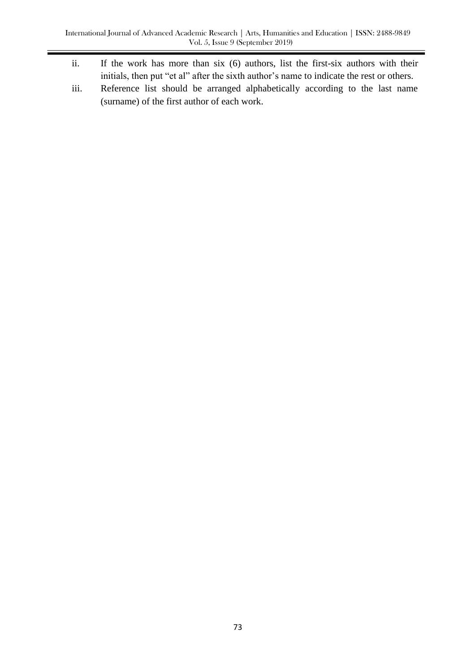- ii. If the work has more than six (6) authors, list the first-six authors with their initials, then put "et al" after the sixth author's name to indicate the rest or others.
- iii. Reference list should be arranged alphabetically according to the last name (surname) of the first author of each work.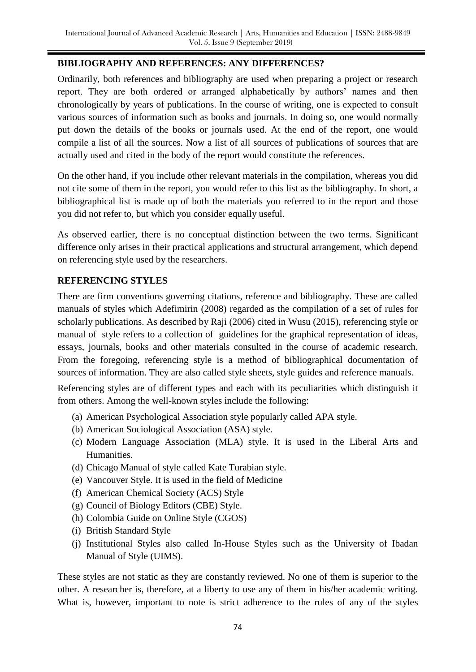# **BIBLIOGRAPHY AND REFERENCES: ANY DIFFERENCES?**

Ordinarily, both references and bibliography are used when preparing a project or research report. They are both ordered or arranged alphabetically by authors' names and then chronologically by years of publications. In the course of writing, one is expected to consult various sources of information such as books and journals. In doing so, one would normally put down the details of the books or journals used. At the end of the report, one would compile a list of all the sources. Now a list of all sources of publications of sources that are actually used and cited in the body of the report would constitute the references.

On the other hand, if you include other relevant materials in the compilation, whereas you did not cite some of them in the report, you would refer to this list as the bibliography. In short, a bibliographical list is made up of both the materials you referred to in the report and those you did not refer to, but which you consider equally useful.

As observed earlier, there is no conceptual distinction between the two terms. Significant difference only arises in their practical applications and structural arrangement, which depend on referencing style used by the researchers.

# **REFERENCING STYLES**

There are firm conventions governing citations, reference and bibliography. These are called manuals of styles which Adefimirin (2008) regarded as the compilation of a set of rules for scholarly publications. As described by Raji (2006) cited in Wusu (2015), referencing style or manual of style refers to a collection of guidelines for the graphical representation of ideas, essays, journals, books and other materials consulted in the course of academic research. From the foregoing, referencing style is a method of bibliographical documentation of sources of information. They are also called style sheets, style guides and reference manuals.

Referencing styles are of different types and each with its peculiarities which distinguish it from others. Among the well-known styles include the following:

- (a) American Psychological Association style popularly called APA style.
- (b) American Sociological Association (ASA) style.
- (c) Modern Language Association (MLA) style. It is used in the Liberal Arts and Humanities.
- (d) Chicago Manual of style called Kate Turabian style.
- (e) Vancouver Style. It is used in the field of Medicine
- (f) American Chemical Society (ACS) Style
- (g) Council of Biology Editors (CBE) Style.
- (h) Colombia Guide on Online Style (CGOS)
- (i) British Standard Style
- (j) Institutional Styles also called In-House Styles such as the University of Ibadan Manual of Style (UIMS).

These styles are not static as they are constantly reviewed. No one of them is superior to the other. A researcher is, therefore, at a liberty to use any of them in his/her academic writing. What is, however, important to note is strict adherence to the rules of any of the styles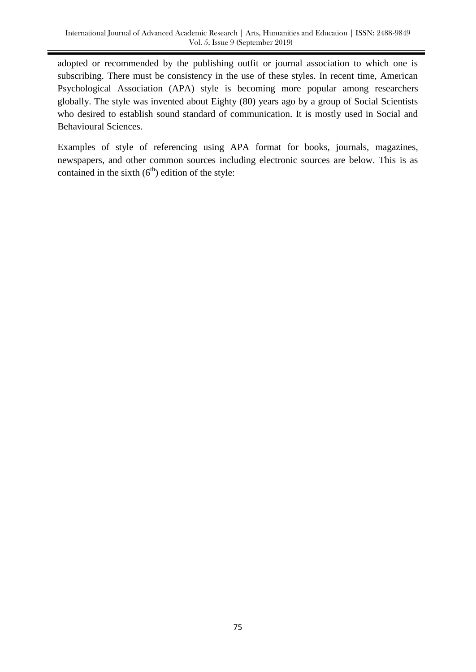adopted or recommended by the publishing outfit or journal association to which one is subscribing. There must be consistency in the use of these styles. In recent time, American Psychological Association (APA) style is becoming more popular among researchers globally. The style was invented about Eighty (80) years ago by a group of Social Scientists who desired to establish sound standard of communication. It is mostly used in Social and Behavioural Sciences.

Examples of style of referencing using APA format for books, journals, magazines, newspapers, and other common sources including electronic sources are below. This is as contained in the sixth  $(6<sup>th</sup>)$  edition of the style: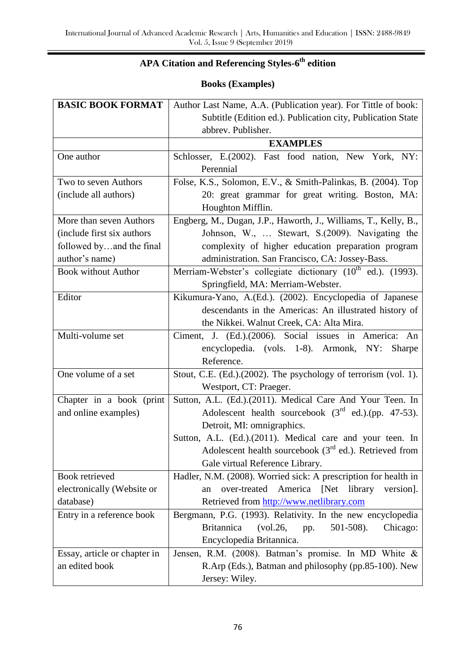# **APA Citation and Referencing Styles-6 th edition**

# **Books (Examples)**

| <b>BASIC BOOK FORMAT</b>     | Author Last Name, A.A. (Publication year). For Tittle of book:          |
|------------------------------|-------------------------------------------------------------------------|
|                              | Subtitle (Edition ed.). Publication city, Publication State             |
|                              | abbrev. Publisher.                                                      |
|                              | <b>EXAMPLES</b>                                                         |
| One author                   | Schlosser, E.(2002). Fast food nation, New York, NY:                    |
|                              | Perennial                                                               |
| Two to seven Authors         | Folse, K.S., Solomon, E.V., & Smith-Palinkas, B. (2004). Top            |
| (include all authors)        | 20: great grammar for great writing. Boston, MA:                        |
|                              | Houghton Mifflin.                                                       |
| More than seven Authors      | Engberg, M., Dugan, J.P., Haworth, J., Williams, T., Kelly, B.,         |
| (include first six authors)  | Johnson, W.,  Stewart, S.(2009). Navigating the                         |
| followed byand the final     | complexity of higher education preparation program                      |
| author's name)               | administration. San Francisco, CA: Jossey-Bass.                         |
| <b>Book without Author</b>   | Merriam-Webster's collegiate dictionary (10 <sup>th</sup> ed.). (1993). |
|                              | Springfield, MA: Merriam-Webster.                                       |
| Editor                       | Kikumura-Yano, A.(Ed.). (2002). Encyclopedia of Japanese                |
|                              | descendants in the Americas: An illustrated history of                  |
|                              | the Nikkei. Walnut Creek, CA: Alta Mira.                                |
| Multi-volume set             | Ciment, J. (Ed.).(2006). Social issues in America: An                   |
|                              | encyclopedia. (vols. 1-8). Armonk, NY:<br>Sharpe                        |
|                              | Reference.                                                              |
| One volume of a set          | Stout, C.E. (Ed.).(2002). The psychology of terrorism (vol. 1).         |
|                              | Westport, CT: Praeger.                                                  |
| Chapter in a book (print     | Sutton, A.L. (Ed.).(2011). Medical Care And Your Teen. In               |
| and online examples)         | Adolescent health sourcebook $(3rd$ ed.).(pp. 47-53).                   |
|                              | Detroit, MI: omnigraphics.                                              |
|                              | Sutton, A.L. (Ed.).(2011). Medical care and your teen. In               |
|                              | Adolescent health sourcebook $(3^{rd}$ ed.). Retrieved from             |
|                              | Gale virtual Reference Library.                                         |
| Book retrieved               | Hadler, N.M. (2008). Worried sick: A prescription for health in         |
| electronically (Website or   | America [Net]<br>over-treated<br>library<br>version].<br>an             |
| database)                    | Retrieved from http://www.netlibrary.com                                |
| Entry in a reference book    | Bergmann, P.G. (1993). Relativity. In the new encyclopedia              |
|                              | <b>Britannica</b><br>501-508).<br>(vol.26,<br>Chicago:<br>pp.           |
|                              | Encyclopedia Britannica.                                                |
| Essay, article or chapter in | Jensen, R.M. (2008). Batman's promise. In MD White &                    |
| an edited book               | R.Arp (Eds.), Batman and philosophy (pp.85-100). New                    |
|                              | Jersey: Wiley.                                                          |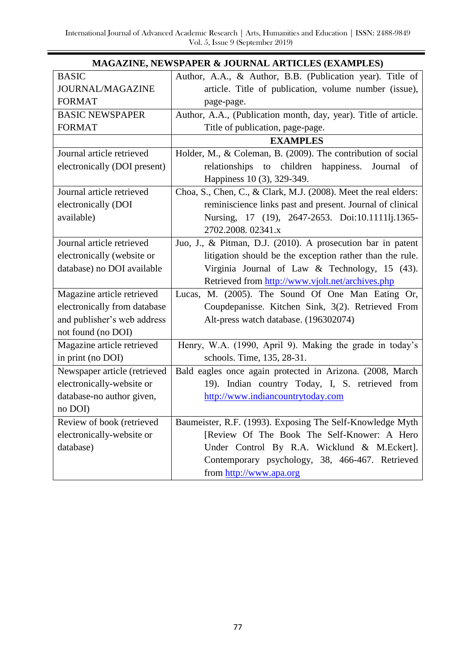Ξ

| MAGAZINE, NEWSPAPER & JOURNAL ARTICLES (EXAMPLES) |                                                                 |  |
|---------------------------------------------------|-----------------------------------------------------------------|--|
| <b>BASIC</b>                                      | Author, A.A., & Author, B.B. (Publication year). Title of       |  |
| JOURNAL/MAGAZINE                                  | article. Title of publication, volume number (issue),           |  |
| <b>FORMAT</b>                                     | page-page.                                                      |  |
| <b>BASIC NEWSPAPER</b>                            | Author, A.A., (Publication month, day, year). Title of article. |  |
| <b>FORMAT</b>                                     | Title of publication, page-page.                                |  |
|                                                   | <b>EXAMPLES</b>                                                 |  |
| Journal article retrieved                         | Holder, M., & Coleman, B. (2009). The contribution of social    |  |
| electronically (DOI present)                      | relationships<br>children<br>happiness.<br>to<br>Journal<br>of  |  |
|                                                   | Happiness 10 (3), 329-349.                                      |  |
| Journal article retrieved                         | Choa, S., Chen, C., & Clark, M.J. (2008). Meet the real elders: |  |
| electronically (DOI                               | reminiscience links past and present. Journal of clinical       |  |
| available)                                        | Nursing, 17 (19), 2647-2653. Doi:10.1111lj.1365-                |  |
|                                                   | 2702.2008. 02341.x                                              |  |
| Journal article retrieved                         | Juo, J., & Pitman, D.J. (2010). A prosecution bar in patent     |  |
| electronically (website or                        | litigation should be the exception rather than the rule.        |  |
| database) no DOI available                        | Virginia Journal of Law & Technology, 15 (43).                  |  |
|                                                   | Retrieved from http://www.vjolt.net/archives.php                |  |
| Magazine article retrieved                        | Lucas, M. (2005). The Sound Of One Man Eating Or,               |  |
| electronically from database                      | Coupdepanisse. Kitchen Sink, 3(2). Retrieved From               |  |
| and publisher's web address                       | Alt-press watch database. (196302074)                           |  |
| not found (no DOI)                                |                                                                 |  |
| Magazine article retrieved                        | Henry, W.A. (1990, April 9). Making the grade in today's        |  |
| in print (no DOI)                                 | schools. Time, 135, 28-31.                                      |  |
| Newspaper article (retrieved                      | Bald eagles once again protected in Arizona. (2008, March       |  |
| electronically-website or                         | 19). Indian country Today, I, S. retrieved from                 |  |
| database-no author given,                         | http://www.indiancountrytoday.com                               |  |
| no DOI)                                           |                                                                 |  |
| Review of book (retrieved                         | Baumeister, R.F. (1993). Exposing The Self-Knowledge Myth       |  |
| electronically-website or                         | [Review Of The Book The Self-Knower: A Hero                     |  |
| database)                                         | Under Control By R.A. Wicklund & M.Eckert].                     |  |
|                                                   | Contemporary psychology, 38, 466-467. Retrieved                 |  |
|                                                   | from http://www.apa.org                                         |  |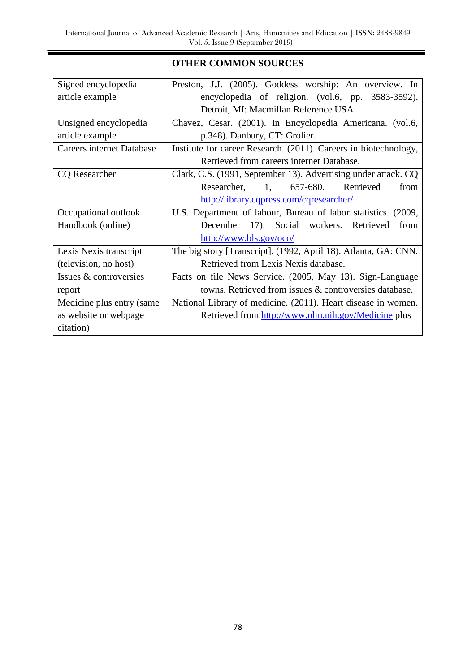Ξ

# **OTHER COMMON SOURCES**

| Signed encyclopedia              | Preston, J.J. (2005). Goddess worship: An overview. In           |
|----------------------------------|------------------------------------------------------------------|
| article example                  | encyclopedia of religion. (vol.6, pp. 3583-3592).                |
|                                  | Detroit, MI: Macmillan Reference USA.                            |
| Unsigned encyclopedia            | Chavez, Cesar. (2001). In Encyclopedia Americana. (vol.6,        |
| article example                  | p.348). Danbury, CT: Grolier.                                    |
| <b>Careers internet Database</b> | Institute for career Research. (2011). Careers in biotechnology, |
|                                  | Retrieved from careers internet Database.                        |
| <b>CQ</b> Researcher             | Clark, C.S. (1991, September 13). Advertising under attack. CQ   |
|                                  | Researcher, 1, 657-680.<br>Retrieved<br>from                     |
|                                  | http://library.cqpress.com/cqresearcher/                         |
| Occupational outlook             | U.S. Department of labour, Bureau of labor statistics. (2009,    |
| Handbook (online)                | December 17). Social workers. Retrieved<br>from                  |
|                                  | http://www.bls.gov/oco/                                          |
| Lexis Nexis transcript           | The big story [Transcript]. (1992, April 18). Atlanta, GA: CNN.  |
| (television, no host)            | Retrieved from Lexis Nexis database.                             |
| Issues & controversies           | Facts on file News Service. (2005, May 13). Sign-Language        |
| report                           | towns. Retrieved from issues & controversies database.           |
| Medicine plus entry (same        | National Library of medicine. (2011). Heart disease in women.    |
| as website or webpage            | Retrieved from http://www.nlm.nih.gov/Medicine plus              |
| citation)                        |                                                                  |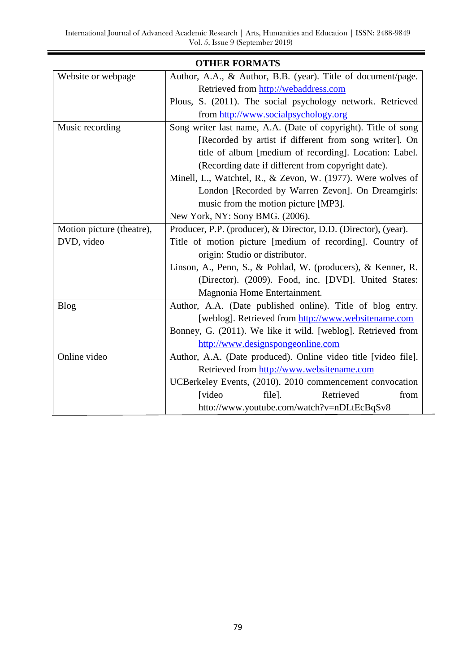Ξ

|                           | <b>OTHER FORMATS</b>                                            |
|---------------------------|-----------------------------------------------------------------|
| Website or webpage        | Author, A.A., & Author, B.B. (year). Title of document/page.    |
|                           | Retrieved from http://webaddress.com                            |
|                           | Plous, S. (2011). The social psychology network. Retrieved      |
|                           | from http://www.socialpsychology.org                            |
| Music recording           | Song writer last name, A.A. (Date of copyright). Title of song  |
|                           | [Recorded by artist if different from song writer]. On          |
|                           | title of album [medium of recording]. Location: Label.          |
|                           | (Recording date if different from copyright date).              |
|                           | Minell, L., Watchtel, R., & Zevon, W. (1977). Were wolves of    |
|                           | London [Recorded by Warren Zevon]. On Dreamgirls:               |
|                           | music from the motion picture [MP3].                            |
|                           | New York, NY: Sony BMG. (2006).                                 |
| Motion picture (theatre), | Producer, P.P. (producer), & Director, D.D. (Director), (year). |
| DVD, video                | Title of motion picture [medium of recording]. Country of       |
|                           | origin: Studio or distributor.                                  |
|                           | Linson, A., Penn, S., & Pohlad, W. (producers), & Kenner, R.    |
|                           | (Director). (2009). Food, inc. [DVD]. United States:            |
|                           | Magnonia Home Entertainment.                                    |
| <b>Blog</b>               | Author, A.A. (Date published online). Title of blog entry.      |
|                           | [weblog]. Retrieved from http://www.websitename.com             |
|                           | Bonney, G. (2011). We like it wild. [weblog]. Retrieved from    |
|                           | http://www.designspongeonline.com                               |
| Online video              | Author, A.A. (Date produced). Online video title [video file].  |
|                           | Retrieved from http://www.websitename.com                       |
|                           | UCBerkeley Events, (2010). 2010 commencement convocation        |
|                           | [video<br>Retrieved<br>from<br>file].                           |
|                           | htto://www.youtube.com/watch?v=nDLtEcBqSv8                      |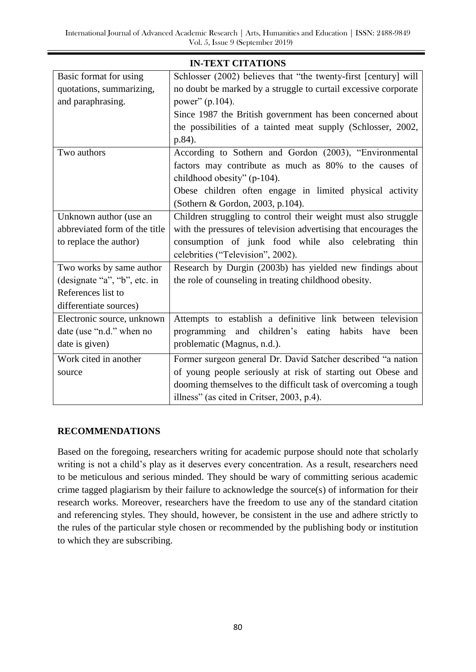| <b>IN-TEXT CITATIONS</b>      |                                                                  |  |
|-------------------------------|------------------------------------------------------------------|--|
| Basic format for using        | Schlosser (2002) believes that "the twenty-first [century] will  |  |
| quotations, summarizing,      | no doubt be marked by a struggle to curtail excessive corporate  |  |
| and paraphrasing.             | power" (p.104).                                                  |  |
|                               | Since 1987 the British government has been concerned about       |  |
|                               | the possibilities of a tainted meat supply (Schlosser, 2002,     |  |
|                               | p.84).                                                           |  |
| Two authors                   | According to Sothern and Gordon (2003), "Environmental           |  |
|                               | factors may contribute as much as 80% to the causes of           |  |
|                               | childhood obesity" (p-104).                                      |  |
|                               | Obese children often engage in limited physical activity         |  |
|                               | (Sothern & Gordon, 2003, p.104).                                 |  |
| Unknown author (use an        | Children struggling to control their weight must also struggle   |  |
| abbreviated form of the title | with the pressures of television advertising that encourages the |  |
| to replace the author)        | consumption of junk food while also celebrating thin             |  |
|                               | celebrities ("Television", 2002).                                |  |
| Two works by same author      | Research by Durgin (2003b) has yielded new findings about        |  |
| (designate "a", "b", etc. in  | the role of counseling in treating childhood obesity.            |  |
| References list to            |                                                                  |  |
| differentiate sources)        |                                                                  |  |
| Electronic source, unknown    | Attempts to establish a definitive link between television       |  |
| date (use "n.d." when no      | programming and children's eating<br>habits<br>have<br>been      |  |
| date is given)                | problematic (Magnus, n.d.).                                      |  |
| Work cited in another         | Former surgeon general Dr. David Satcher described "a nation     |  |
| source                        | of young people seriously at risk of starting out Obese and      |  |
|                               | dooming themselves to the difficult task of overcoming a tough   |  |
|                               | illness" (as cited in Critser, 2003, p.4).                       |  |

# **RECOMMENDATIONS**

Based on the foregoing, researchers writing for academic purpose should note that scholarly writing is not a child's play as it deserves every concentration. As a result, researchers need to be meticulous and serious minded. They should be wary of committing serious academic crime tagged plagiarism by their failure to acknowledge the source(s) of information for their research works. Moreover, researchers have the freedom to use any of the standard citation and referencing styles. They should, however, be consistent in the use and adhere strictly to the rules of the particular style chosen or recommended by the publishing body or institution to which they are subscribing.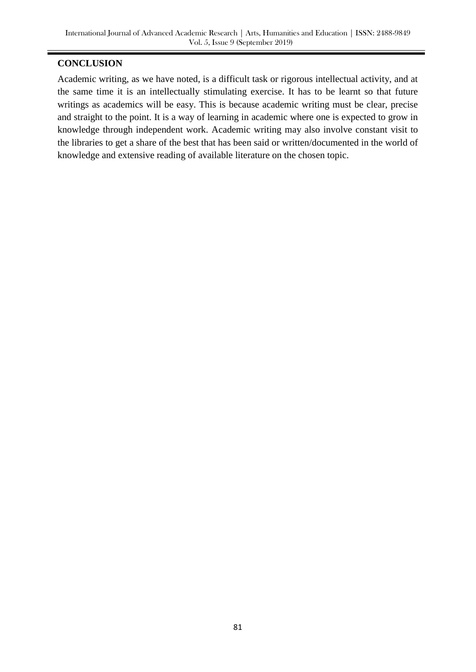### **CONCLUSION**

Academic writing, as we have noted, is a difficult task or rigorous intellectual activity, and at the same time it is an intellectually stimulating exercise. It has to be learnt so that future writings as academics will be easy. This is because academic writing must be clear, precise and straight to the point. It is a way of learning in academic where one is expected to grow in knowledge through independent work. Academic writing may also involve constant visit to the libraries to get a share of the best that has been said or written/documented in the world of knowledge and extensive reading of available literature on the chosen topic.